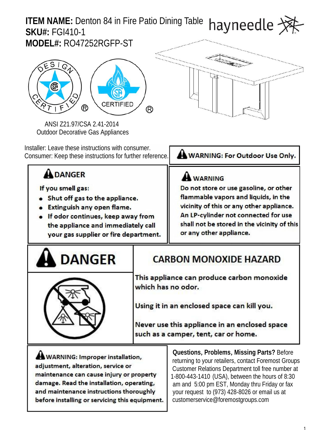# **ITEM NAME:** Denton 84 in Fire Patio Dining Table havr **SKU#:** FGI410-1

**MODEL#:** RO47252RGFP-ST



ANSI Z21.97/CSA 2.41-2014 Outdoor Decorative Gas Appliances

Installer: Leave these instructions with consumer. Consumer: Keep these instructions for further reference. WARNING: For Outdoor Use Only.

# **A DANGER**

If you smell gas:

- Shut off gas to the appliance.
- Extinguish any open flame.
- If odor continues, keep away from the appliance and immediately call your gas supplier or fire department.

**A WARNING** 

Do not store or use gasoline, or other flammable vapors and liquids, in the vicinity of this or any other appliance. An LP-cylinder not connected for use shall not be stored in the vicinity of this or any other appliance.

# **DANGER**

# **CARBON MONOXIDE HAZARD**

This appliance can produce carbon monoxide which has no odor.

Using it in an enclosed space can kill you.

Never use this appliance in an enclosed space such as a camper, tent, car or home.

**WARNING: Improper installation,** adjustment, alteration, service or maintenance can cause injury or property damage. Read the installation, operating, and maintenance instructions thoroughly before installing or servicing this equipment.

**Questions,Problems,Missing Parts?** Before returning to your retailers, contact Foremost Groups Customer Relations Department toll free number at 1-800-443-1410 (USA), between the hours of 8:30 am and 5:00 pm EST, Monday thru Friday or fax your request to (973) 428-8026 or email us at customerservice@foremostgroups.com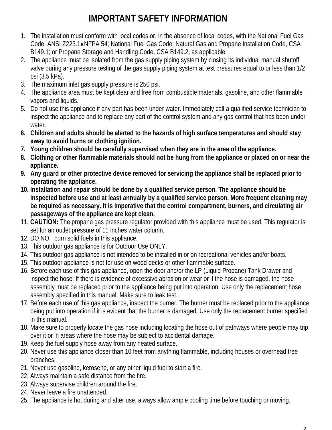# **IMPORTANT SAFETY INFORMATION**

- 1. The installation must conform with local codes or, in the absence of local codes, with the National Fuel Gas Code, ANSI Z223.1 NFPA 54; National Fuel Gas Code; Natural Gas and Propane Installation Code, CSA B149.1; or Propane Storage and Handling Code, CSA B149.2, as applicable.
- 2. The appliance must be isolated from the gas supply piping system by closing its individual manual shutoff valve during any pressure testing of the gas supply piping system at test pressures equal to or less than 1/2 psi (3.5 kPa).
- 3. The maximum inlet gas supply pressure is 250 psi.
- 4. The appliance area must be kept clear and free from combustible materials, gasoline, and other flammable vapors and liquids.
- 5. Do not use this appliance if any part has been under water. Immediately call a qualified service technician to inspect the appliance and to replace any part of the control system and any gas control that has been under water.
- **6. Children and adults should be alerted to the hazards of high surface temperatures and should stay away to avoid burns or clothing ignition.**
- **7. Young children should be carefully supervised when they are in the area of the appliance.**
- **8. Clothing or other flammable materials should not be hung from the appliance or placed on or near the appliance.**
- **9. Any guard or other protective device removed for servicing the appliance shall be replaced prior to operating the appliance.**
- **10. Installation and repair should be done by a qualified service person. The appliance should be inspected before use and at least annually by a qualified service person. More frequent cleaning may be required as necessary. It is imperative that the control compartment, burners, and circulating air passageways of the appliance are kept clean.**
- 11. **CAUTION:** The propane gas pressure regulator provided with this appliance must be used. This regulator is set for an outlet pressure of 11 inches water column.
- 12. DO NOT burn solid fuels in this appliance.
- 13. This outdoor gas appliance is for Outdoor Use ONLY.
- 14. This outdoor gas appliance is not intended to be installed in or on recreational vehicles and/or boats.
- 15. This outdoor appliance is not for use on wood decks or other flammable surface.
- 16. Before each use of this gas appliance, open the door and/or the LP (Liquid Propane) Tank Drawer and inspect the hose. If there is evidence of excessive abrasion or wear or if the hose is damaged, the hose assembly must be replaced prior to the appliance being put into operation. Use only the replacement hose assembly specified in this manual. Make sure to leak test.
- 17. Before each use of this gas appliance, inspect the burner. The burner must be replaced prior to the appliance being put into operation if it is evident that the burner is damaged. Use only the replacement burner specified in this manual.
- 18. Make sure to properly locate the gas hose including locating the hose out of pathways where people may trip over it or in areas where the hose may be subject to accidental damage.
- 19. Keep the fuel supply hose away from any heated surface.
- 20. Never use this appliance closer than 10 feet from anything flammable, including houses or overhead tree branches.
- 21. Never use gasoline, kerosene, or any other liquid fuel to start a fire.
- 22. Always maintain a safe distance from the fire.
- 23. Always supervise children around the fire.
- 24. Never leave a fire unattended.
- 25. The appliance is hot during and after use, always allow ample cooling time before touching or moving.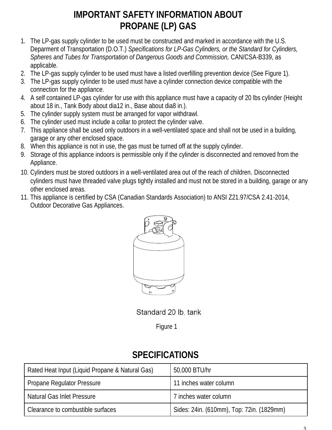# **IMPORTANT SAFETY INFORMATION ABOUT PROPANE (LP) GAS**

- 1. The LP-gas supply cylinder to be used must be constructed and marked in accordance with the U.S. Deparment of Transportation (D.O.T.) *Specifications for LP-Gas Cylinders, or the Standard for Cylinders, Spheres and Tubes for Transportation of Dangerous Goods and Commission,* CAN/CSA-B339, as applicable.
- 2. The LP-gas supply cylinder to be used must have a listed overfilling prevention device (See Figure 1).
- 3. The LP-gas supply cylinder to be used must have a cylinder connection device compatible with the connection for the appliance.
- 4. A self contained LP-gas cylinder for use with this appliance must have a capacity of 20 lbs cylinder (Height about 18 in., Tank Body about dia12 in., Base about dia8 in.).
- 5. The cylinder supply system must be arranged for vapor withdrawl.
- 6. The cylinder used must include a collar to protect the cylinder valve.
- 7. This appliance shall be used only outdoors in a well-ventilated space and shall not be used in a building, garage or any other enclosed space.
- 8. When this appliance is not in use, the gas must be turned off at the supply cylinder.
- 9. Storage of this appliance indoors is permissible only if the cylinder is disconnected and removed from the Appliance.
- 10. Cylinders must be stored outdoors in a well-ventilated area out of the reach of children. Disconnected cylinders must have threaded valve plugs tightly installed and must not be stored in a building, garage or any other enclosed areas.
- 11. This appliance is certified by CSA (Canadian Standards Association) to ANSI Z21.97/CSA 2.41-2014, Outdoor Decorative Gas Appliances.



Standard 20 lb. tank

Figure 1

### **SPECIFICATIONS**

| Rated Heat Input (Liquid Propane & Natural Gas) | 50,000 BTU/hr                             |
|-------------------------------------------------|-------------------------------------------|
| <b>Propane Regulator Pressure</b>               | 11 inches water column                    |
| <b>Natural Gas Inlet Pressure</b>               | 7 inches water column                     |
| Clearance to combustible surfaces               | Sides: 24in. (610mm), Top: 72in. (1829mm) |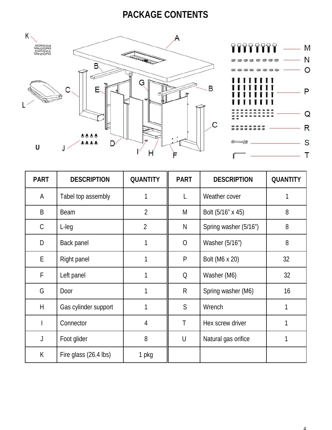### **PACKAGE CONTENTS**





| <b>PART</b>  | <b>DESCRIPTION</b>      | <b>QUANTITY</b> | <b>PART</b>    | <b>DESCRIPTION</b>    | <b>QUANTITY</b> |  |
|--------------|-------------------------|-----------------|----------------|-----------------------|-----------------|--|
| $\mathsf{A}$ | Tabel top assembly      | 1               | L              | Weather cover         | 1               |  |
| B            | <b>Beam</b>             | $\overline{2}$  | M              | Bolt (5/16" x 45)     | 8               |  |
| $\mathsf C$  | $L$ -leg                | 2               | $\mathsf{N}$   | Spring washer (5/16") | 8               |  |
| D            | <b>Back panel</b>       | 1               | $\overline{O}$ | Washer (5/16")        | 8               |  |
| Е            | <b>Right panel</b>      | 1               | P              | <b>Bolt (M6 x 20)</b> | 32              |  |
| F            | Left panel              | 1               | Q              | Washer (M6)           | 32              |  |
| G            | Door                    | 1               | $\mathsf{R}$   | Spring washer (M6)    | 16              |  |
| H            | Gas cylinder support    |                 | S              | Wrench                |                 |  |
|              | Connector               | $\overline{4}$  | T              | Hex screw driver      |                 |  |
| J            | Foot glider             | 8               | $\cup$         | Natural gas orifice   | 1               |  |
| K            | Fire glass $(26.4$ lbs) | 1 pkg           |                |                       |                 |  |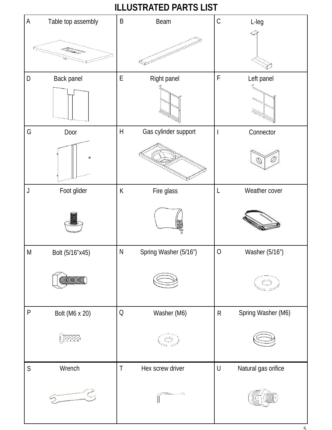# **ILLUSTRATED PARTS LIST**

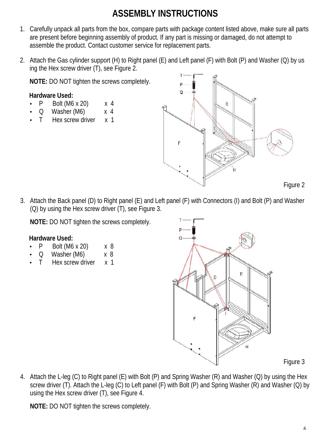# **ASSEMBLY INSTRUCTIONS**

- 1. Carefully unpack all parts from the box, compare parts with package content listed above, make sure all parts are present before beginning assembly of product. If any part is missing or damaged, do not attempt to assemble the product. Contact customer service for replacement parts.
- 2. Attach the Gas cylinder support (H) to Right panel (E) and Left panel (F) with Bolt (P) and Washer (Q) by us ing the Hex screw driver (T), see Figure 2.

**NOTE:** DO NOT tighten the screws completely.

### **Hardware Used:**

- P Bolt (M6 x 20) x 4
- Q Washer (M6) x 4
- T Hex screw driver x 1



3. Attach the Back panel (D) to Right panel (E) and Left panel (F) with Connectors (I) and Bolt (P) and Washer (Q) by using the Hex screw driver (T), see Figure 3.

**NOTE:** DO NOT tighten the screws completely.

### **Hardware Used:**

- P Bolt (M6 x 20) x 8
- Q Washer (M6) x 8
- T Hex screw driver x 1



Figure 3

4. Attach the L-leg (C) to Right panel (E) with Bolt (P) and Spring Washer (R) and Washer (Q) by using the Hex screw driver (T). Attach the L-leg (C) to Left panel (F) with Bolt (P) and Spring Washer (R) and Washer (Q) by using the Hex screw driver (T), see Figure 4.

**NOTE:** DO NOT tighten the screws completely.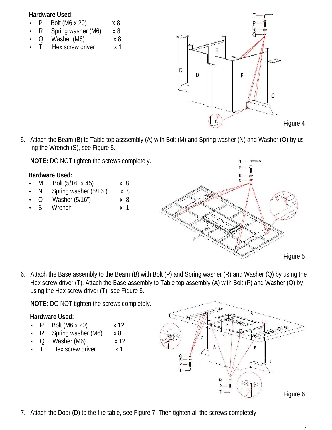#### **Hardware Used:**

- P Bolt  $(M6 \times 20)$   $\times 8$
- R Spring washer (M6) x 8
- Q Washer (M6) x 8
- T Hex screw driver x 1



5. Attach the Beam (B) to Table top asssembly (A) with Bolt (M) and Spring washer (N) and Washer (O) by using the Wrench (S), see Figure 5.

**NOTE:** DO NOT tighten the screws completely.

### **Hardware Used:**

- M Bolt (5/16" x 45) x 8
- N Spring washer (5/16") x 8
- O Washer (5/16") x 8
- S Wrench x 1



6. Attach the Base assembly to the Beam (B) with Bolt (P) and Spring washer (R) and Washer (Q) by using the Hex screw driver (T). Attach the Base assembly to Table top assembly (A) with Bolt (P) and Washer (Q) by using the Hex screw driver (T), see Figure 6.

**NOTE:** DO NOT tighten the screws completely.

### **Hardware Used:**

- P Bolt  $(M6 \times 20)$   $\times 12$
- R Spring washer (M6) x 8
- Q Washer (M6) x 12
- T Hex screw driver x 1



7. Attach the Door (D) to the fire table, see Figure 7. Then tighten all the screws completely.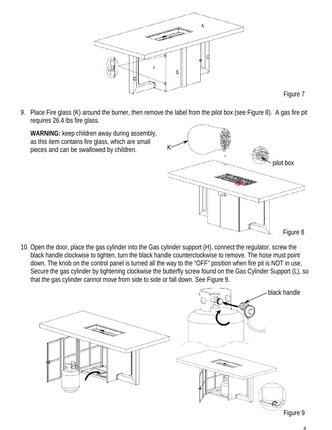

Figure 7

9. Place Fire glass (K) around the burner, then remove the label from the pilot box (see Figure 8). A gas fire pit requires 26.4 lbs fire glass.

**WARNING:** keep children away during assembly, as this item contains fire glass, which are small pieces and can be swallowed by children.



10. Open the door, place the gas cylinder into the Gas cylinder support (H), connect the regulator, screw the black handle clockwise to tighten, turn the black handle counterclockwise to remove. The hose must point down. The knob on the control panel is turned all the way to the "OFF" position when fire pit is NOT in use. Secure the gas cylinder by tightening clockwise the butterfly screw found on the Gas Cylinder Support (L), so that the gas cylinder cannot move from side to side or fall down. See Figure 9.



Figure 9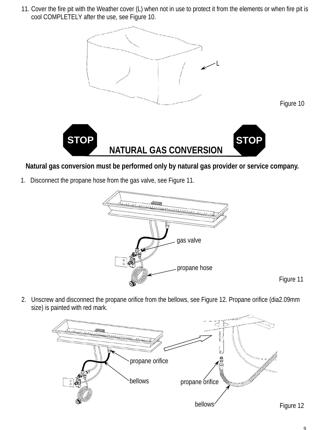11. Cover the fire pit with the Weather cover (L) when not in use to protect it from the elements or when fire pit is cool COMPLETELY after the use, see Figure 10.



### **Natural gas conversion must be performed only by natural gas provider or service company.**

1. Disconnect the propane hose from the gas valve, see Figure 11.



2. Unscrew and disconnect the propane orifice from the bellows, see Figure 12. Propane orifice (dia2.09mm size) is painted with red mark.

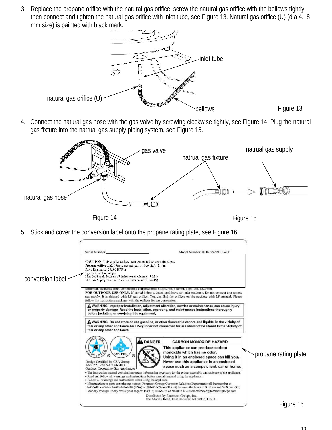3. Replace the propane orifice with the natural gas orifice, screw the natural gas orifice with the bellows tightly, then connect and tighten the natural gas orifice with inlet tube, see Figure 13. Natural gas orifice (U) (dia 4.18 mm size) is painted with black mark.



4. Connect the natural gas hose with the gas valve by screwing clockwise tightly, see Figure 14. Plug the natural gas fixture into the natrual gas supply piping system, see Figure 15.



5. Stick and cover the conversion label onto the propane rating plate, see Figure 16.

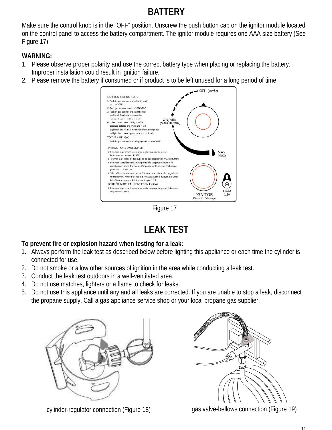# **BATTERY**

Make sure the control knob is in the "OFF" position. Unscrew the push button cap on the ignitor module located on the control panel to access the battery compartment. The ignitor module requires one AAA size battery (See Figure 17).

### **WARNING:**

- 1. Please observe proper polarity and use the correct battery type when placing or replacing the battery. Improper installation could result in ignition failure.
- 2. Please remove the battery if consumed or if product is to be left unused for a long period of time.



Figure 17

# **LEAK TEST**

### **To prevent fire or explosion hazard when testing for a leak:**

- 1. Always perform the leak test as described below before lighting this appliance or each time the cylinder is connected for use.
- 2. Do not smoke or allow other sources of ignition in the area while conducting a leak test.
- 3. Conduct the leak test outdoors in a well-ventilated area.
- 4. Do not use matches, lighters or a flame to check for leaks.
- 5. Do not use this appliance until any and all leaks are corrected. If you are unable to stop a leak, disconnect the propane supply. Call a gas appliance service shop or your local propane gas supplier.







cylinder-regulator connection (Figure 18) gas valve-bellows connection (Figure 19)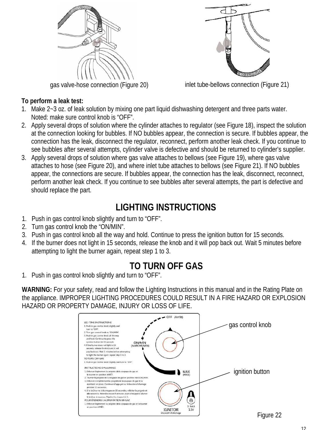

### **To perform a leak test:**



gas valve-hose connection (Figure 20) inlet tube-bellows connection (Figure 21)

- 1. Make 2~3 oz. of leak solution by mixing one part liquid dishwashing detergent and three parts water. Noted: make sure control knob is "OFF".
- 2. Apply several drops of solution where the cylinder attaches to regulator (see Figure 18), inspect the solution at the connection looking for bubbles. If NO bubbles appear, the connection is secure. If bubbles appear, the connection has the leak, disconnect the regulator, reconnect, perform another leak check. If you continue to see bubbles after several attempts, cylinder valve is defective and should be returned to cylinder's supplier.
- 3. Apply several drops of solution where gas valve attaches to bellows (see Figure 19), where gas valve attaches to hose (see Figure 20), and where inlet tube attaches to bellows (see Figure 21). If NO bubbles appear, the connections are secure. If bubbles appear, the connection has the leak, disconnect, reconnect, perform another leak check. If you continue to see bubbles after several attempts, the part is defective and should replace the part.

## **LIGHTING INSTRUCTIONS**

- 1. Push in gas control knob slightly and turn to "OFF".
- 2. Turn gas control knob the "ON/MIN".
- 3. Push in gas control knob all the way and hold. Continue to press the ignition button for 15 seconds.
- 4. If the burner does not light in 15 seconds, release the knob and it will pop back out. Wait 5 minutes before attempting to light the burner again, repeat step 1 to 3.

### **TO TURN OFF GAS**

1. Push in gas control knob slightly and turn to "OFF".

**WARNING:** For your safety, read and follow the Lighting Instructions in this manual and in the Rating Plate on the appliance. IMPROPER LIGHTING PROCEDURES COULD RESULT IN A FIRE HAZARD OR EXPLOSION HAZARD OR PROPERTY DAMAGE, INJURY OR LOSS OF LIFE.

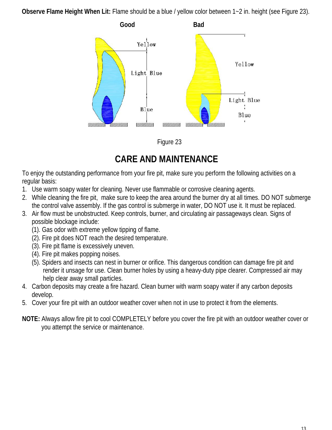**Observe Flame Height When Lit:** Flame should be a blue / yellow color between 1~2 in. height (see Figure 23).



Figure 23

### **CARE AND MAINTENANCE**

To enjoy the outstanding performance from your fire pit, make sure you perform the following activities on a regular basis:

- 1. Use warm soapy water for cleaning. Never use flammable or corrosive cleaning agents.
- 2. While deaning the fire pit, make sure to keep the area around the burner dry at all times. DO NOT submerge the control valve assembly. If the gas control is submerge in water, DO NOT use it. It must be replaced.
- 3. Air flow must be unobstructed. Keep controls, burner, and circulating air passageways clean. Signs of possible blockage include:
	- (1). Gas odor with extreme yellow tipping of flame.
	- (2). Fire pit does NOT reach the desired temperature.
	- (3). Fire pit flame is excessively uneven.
	- (4). Fire pit makes popping noises.
	- (5). Spiders and insects can nest in burner or orifice. This dangerous condition can damage fire pit and render it unsage for use. Clean burner holes by using a heavy-duty pipe clearer. Compressed air may help clear away small particles.
- 4. Carbon deposits may create a fire hazard. Clean burner with warm soapy water if any carbon deposits develop.
- 5. Cover your fire pit with an outdoor weather cover when not in use to protect it from the elements.
- **NOTE:** Always allow fire pit to cool COMPLETELY before you cover the fire pit with an outdoor weather cover or you attempt the service or maintenance.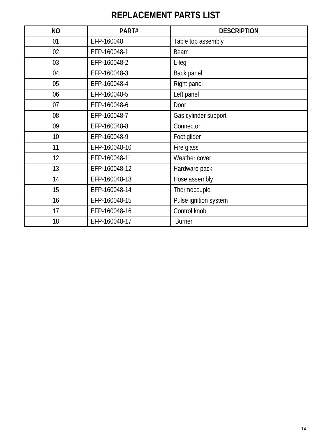# **REPLACEMENT PARTS LIST**

| <b>NO</b> | PART#         | <b>DESCRIPTION</b>    |  |
|-----------|---------------|-----------------------|--|
| 01        | EFP-160048    | Table top assembly    |  |
| 02        | EFP-160048-1  | <b>Beam</b>           |  |
| 03        | EFP-160048-2  | L-leg                 |  |
| 04        | EFP-160048-3  | <b>Back panel</b>     |  |
| 05        | EFP-160048-4  | <b>Right panel</b>    |  |
| 06        | EFP-160048-5  | Left panel            |  |
| 07        | EFP-160048-6  | Door                  |  |
| 08        | EFP-160048-7  | Gas cylinder support  |  |
| 09        | EFP-160048-8  | Connector             |  |
| 10        | EFP-160048-9  | Foot glider           |  |
| 11        | EFP-160048-10 | Fire glass            |  |
| 12        | EFP-160048-11 | Weather cover         |  |
| 13        | EFP-160048-12 | Hardware pack         |  |
| 14        | EFP-160048-13 | Hose assembly         |  |
| 15        | EFP-160048-14 | Thermocouple          |  |
| 16        | EFP-160048-15 | Pulse ignition system |  |
| 17        | EFP-160048-16 | Control knob          |  |
| 18        | EFP-160048-17 | <b>Burner</b>         |  |